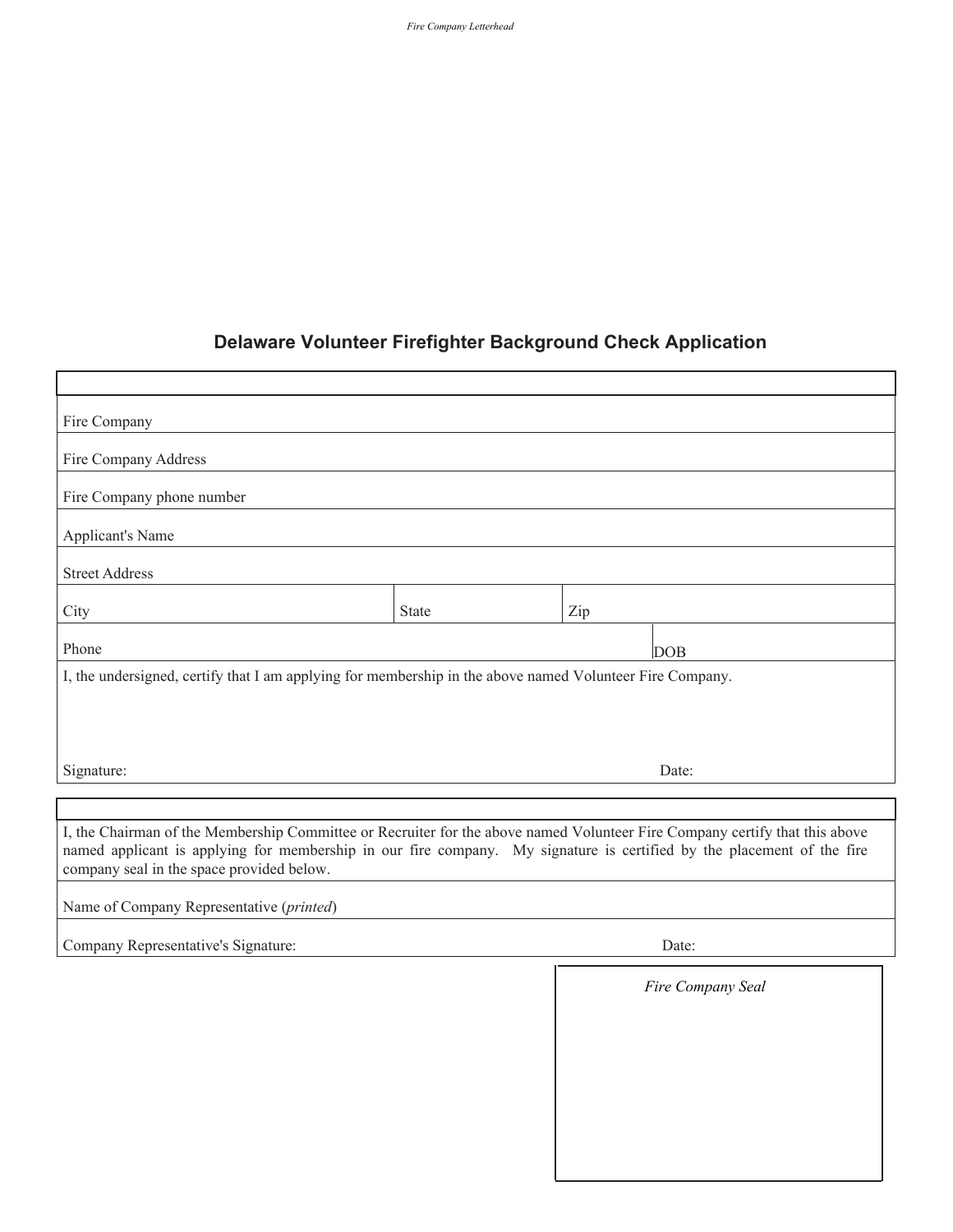## **Delaware Volunteer Firefighter Background Check Application**

| Fire Company                                                                                                                                                                                                                                                                                       |       |     |                   |  |
|----------------------------------------------------------------------------------------------------------------------------------------------------------------------------------------------------------------------------------------------------------------------------------------------------|-------|-----|-------------------|--|
| Fire Company Address                                                                                                                                                                                                                                                                               |       |     |                   |  |
| Fire Company phone number                                                                                                                                                                                                                                                                          |       |     |                   |  |
| <b>Applicant's Name</b>                                                                                                                                                                                                                                                                            |       |     |                   |  |
| <b>Street Address</b>                                                                                                                                                                                                                                                                              |       |     |                   |  |
| City                                                                                                                                                                                                                                                                                               | State | Zip |                   |  |
| Phone                                                                                                                                                                                                                                                                                              |       | DOB |                   |  |
| I, the undersigned, certify that I am applying for membership in the above named Volunteer Fire Company.                                                                                                                                                                                           |       |     |                   |  |
|                                                                                                                                                                                                                                                                                                    |       |     |                   |  |
| Date:                                                                                                                                                                                                                                                                                              |       |     |                   |  |
| Signature:                                                                                                                                                                                                                                                                                         |       |     |                   |  |
| I, the Chairman of the Membership Committee or Recruiter for the above named Volunteer Fire Company certify that this above<br>named applicant is applying for membership in our fire company. My signature is certified by the placement of the fire<br>company seal in the space provided below. |       |     |                   |  |
| Name of Company Representative (printed)                                                                                                                                                                                                                                                           |       |     |                   |  |
| Company Representative's Signature:                                                                                                                                                                                                                                                                |       |     | Date:             |  |
|                                                                                                                                                                                                                                                                                                    |       |     | Fire Company Seal |  |
|                                                                                                                                                                                                                                                                                                    |       |     |                   |  |